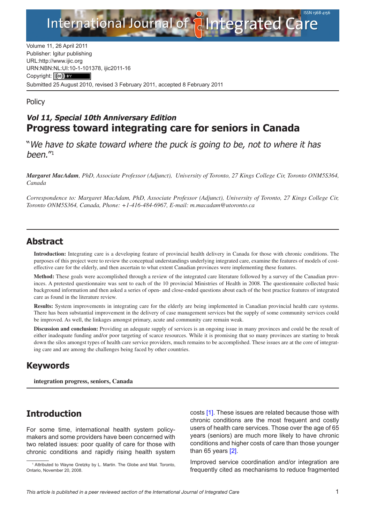

Volume 11, 26 April 2011 Publisher: Igitur publishing URL[:http://www.ijic.org](http://www.ijic.org) URN:NBN[:NL:UI:10-1-1013](http://creativecommons.org/licenses/by/3.0/)78, ijic2011-16 Copyright: (cc) BY Submitted 25 August 2010, revised 3 February 2011, accepted 8 February 2011

**Policy** 

## **Vol 11, Special 10th Anniversary Edition Progress toward integrating care for seniors in Canada**

"We have to skate toward where the puck is going to be, not to where it has been."1

*Margaret MacAdam, PhD, Associate Professor (Adjunct), University of Toronto, 27 Kings College Cir, Toronto ONM5S364, Canada*

*Correspondence to: Margaret MacAdam, PhD, Associate Professor (Adjunct), University of Toronto, 27 Kings College Cir, Toronto ONM5S364, Canada, Phone: +1-416-484-6967, E-mail: [m.macadam@utoronto.ca](mailto:m.macadam@utoronto.ca)*

### **Abstract**

**Introduction:** Integrating care is a developing feature of provincial health delivery in Canada for those with chronic conditions. The purposes of this project were to review the conceptual understandings underlying integrated care, examine the features of models of costeffective care for the elderly, and then ascertain to what extent Canadian provinces were implementing these features.

**Method:** These goals were accomplished through a review of the integrated care literature followed by a survey of the Canadian provinces. A pretested questionnaire was sent to each of the 10 provincial Ministries of Health in 2008. The questionnaire collected basic background information and then asked a series of open- and close-ended questions about each of the best practice features of integrated care as found in the literature review.

**Results:** System improvements in integrating care for the elderly are being implemented in Canadian provincial health care systems. There has been substantial improvement in the delivery of case management services but the supply of some community services could be improved. As well, the linkages amongst primary, acute and community care remain weak.

**Discussion and conclusion:** Providing an adequate supply of services is an ongoing issue in many provinces and could be the result of either inadequate funding and/or poor targeting of scarce resources. While it is promising that so many provinces are starting to break down the silos amongst types of health care service providers, much remains to be accomplished. These issues are at the core of integrating care and are among the challenges being faced by other countries.

## **Keywords**

**integration progress, seniors, Canada**

# **Introduction**

For some time, international health system policymakers and some providers have been concerned with two related issues: poor quality of care for those with chronic conditions and rapidly rising health system costs [[1](#page-8-0)]. These issues are related because those with chronic conditions are the most frequent and costly users of health care services. Those over the age of 65 years (seniors) are much more likely to have chronic conditions and higher costs of care than those younger than 65 years [\[2\]](#page-8-0).

Improved service coordination and/or integration are frequently cited as mechanisms to reduce fragmented

<sup>&</sup>lt;sup>1</sup> Attributed to Wayne Gretzky by L. Martin. The Globe and Mail. Toronto, Ontario, November 20, 2008.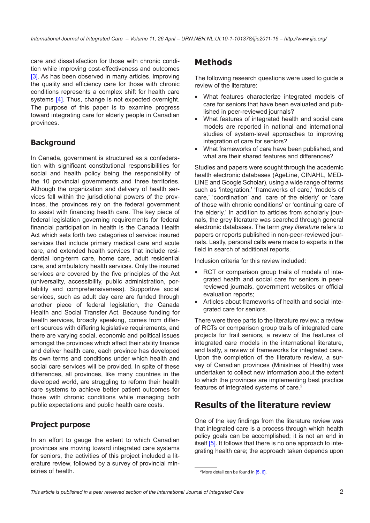care and dissatisfaction for those with chronic condition while improving cost-effectiveness and outcomes [\[3\]](#page-8-0). As has been observed in many articles, improving the quality and efficiency care for those with chronic conditions represents a complex shift for health care systems [[4](#page-8-0)]. Thus, change is not expected overnight. The purpose of this paper is to examine progress toward integrating care for elderly people in Canadian provinces.

### **Background**

In Canada, government is structured as a confederation with significant constitutional responsibilities for social and health policy being the responsibility of the 10 provincial governments and three territories. Although the organization and delivery of health services fall within the jurisdictional powers of the provinces, the provinces rely on the federal government to assist with financing health care. The key piece of federal legislation governing requirements for federal financial participation in health is the Canada Health Act which sets forth two categories of service: insured services that include primary medical care and acute care, and extended health services that include residential long-term care, home care, adult residential care, and ambulatory health services. Only the insured services are covered by the five principles of the Act (universality, accessibility, public administration, portability and comprehensiveness). Supportive social services, such as adult day care are funded through another piece of federal legislation, the Canada Health and Social Transfer Act. Because funding for health services, broadly speaking, comes from different sources with differing legislative requirements, and there are varying social, economic and political issues amongst the provinces which affect their ability finance and deliver health care, each province has developed its own terms and conditions under which health and social care services will be provided. In spite of these differences, all provinces, like many countries in the developed world, are struggling to reform their health care systems to achieve better patient outcomes for those with chronic conditions while managing both public expectations and public health care costs.

#### **Project purpose**

In an effort to gauge the extent to which Canadian provinces are moving toward integrated care systems for seniors, the activities of this project included a literature review, followed by a survey of provincial ministries of health.

# **Methods**

The following research questions were used to guide a review of the literature:

- What features characterize integrated models of care for seniors that have been evaluated and published in peer-reviewed journals?
- What features of integrated health and social care models are reported in national and international studies of system-level approaches to improving integration of care for seniors?
- What frameworks of care have been published, and what are their shared features and differences?

Studies and papers were sought through the academic health electronic databases (AgeLine, CINAHL, MED-LINE and Google Scholar), using a wide range of terms such as 'integration,' 'frameworks of care,' 'models of care,' 'coordination' and 'care of the elderly' or 'care of those with chronic conditions' or 'continuing care of the elderly.' In addition to articles from scholarly journals, the grey literature was searched through general electronic databases. The term *grey literature* refers to papers or reports published in non-peer-reviewed journals. Lastly, personal calls were made to experts in the field in search of additional reports.

Inclusion criteria for this review included:

- RCT or comparison group trails of models of integrated health and social care for seniors in peerreviewed journals, government websites or official evaluation reports;
- Articles about frameworks of health and social integrated care for seniors.

There were three parts to the literature review: a review of RCTs or comparison group trails of integrated care projects for frail seniors, a review of the features of integrated care models in the international literature, and lastly, a review of frameworks for integrated care. Upon the completion of the literature review, a survey of Canadian provinces (Ministries of Health) was undertaken to collect new information about the extent to which the provinces are implementing best practice features of integrated systems of care.2

# **Results of the literature review**

One of the key findings from the literature review was that integrated care is a process through which health policy goals can be accomplished; it is not an end in itself [[5](#page-8-0)]. It follows that there is no one approach to integrating health care; the approach taken depends upon

<sup>&</sup>lt;sup>2</sup> More detail can be found in  $[5, 6]$  $[5, 6]$  $[5, 6]$ .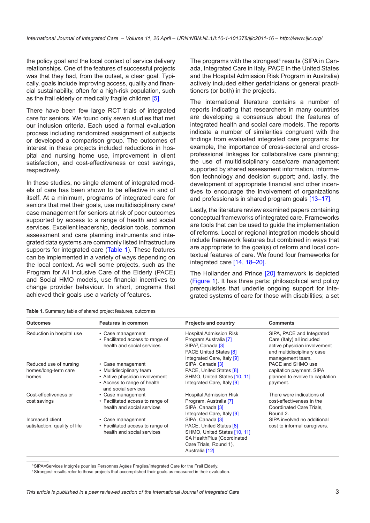the policy goal and the local context of service delivery relationships. One of the features of successful projects was that they had, from the outset, a clear goal. Typically, goals include improving access, quality and financial sustainability, often for a high-risk population, such as the frail elderly or medically fragile children [[5](#page-8-0)].

There have been few large RCT trials of integrated care for seniors. We found only seven studies that met our inclusion criteria. Each used a formal evaluation process including randomized assignment of subjects or developed a comparison group. The outcomes of interest in these projects included reductions in hospital and nursing home use, improvement in client satisfaction, and cost-effectiveness or cost savings, respectively.

In these studies, no single element of integrated models of care has been shown to be effective in and of itself. At a minimum, programs of integrated care for seniors that met their goals, use multidisciplinary care/ case management for seniors at risk of poor outcomes supported by access to a range of health and social services. Excellent leadership, decision tools, common assessment and care planning instruments and integrated data systems are commonly listed infrastructure supports for integrated care (Table 1). These features can be implemented in a variety of ways depending on the local context. As well some projects, such as the Program for All Inclusive Care of the Elderly (PACE) and Social HMO models, use financial incentives to change provider behaviour. In short, programs that achieved their goals use a variety of features.

**Table 1.** Summary table of shared project features, outcomes

The programs with the strongest<sup>4</sup> results (SIPA in Canada, Integrated Care in Italy, PACE in the United States and the Hospital Admission Risk Program in Australia) actively included either geriatricians or general practitioners (or both) in the projects.

The international literature contains a number of reports indicating that researchers in many countries are developing a consensus about the features of integrated health and social care models. The reports indicate a number of similarities congruent with the findings from evaluated integrated care programs: for example, the importance of cross-sectoral and crossprofessional linkages for collaborative care planning; the use of multidisciplinary case/care management supported by shared assessment information, information technology and decision support; and, lastly, the development of appropriate financial and other incentives to encourage the involvement of organizations and professionals in shared program goals [[13–17](#page-8-0)].

Lastly, the literature review examined papers containing conceptual frameworks of integrated care. Frameworks are tools that can be used to guide the implementation of reforms. Local or regional integration models should include framework features but combined in ways that are appropriate to the goal(s) of reform and local contextual features of care. We found four frameworks for integrated care [\[14](#page-8-0), [18](#page-8-0)–[20\]](#page-8-0).

The Hollander and Prince [[20\]](#page-8-0) framework is depicted [\(Figure 1\)](#page-3-0). It has three parts: philosophical and policy prerequisites that underlie ongoing support for integrated systems of care for those with disabilities; a set

| <b>Outcomes</b>                                                                                                  | <b>Features in common</b>                                                            | <b>Projects and country</b>                                                                                                                              | <b>Comments</b>                                                                                                                          |  |  |
|------------------------------------------------------------------------------------------------------------------|--------------------------------------------------------------------------------------|----------------------------------------------------------------------------------------------------------------------------------------------------------|------------------------------------------------------------------------------------------------------------------------------------------|--|--|
| Reduction in hospital use<br>• Case management<br>• Facilitated access to range of<br>health and social services |                                                                                      | <b>Hospital Admission Risk</b><br>Program Australia [7]<br>SIPA <sup>3</sup> , Canada [3]<br><b>PACE United States [8]</b><br>Integrated Care, Italy [9] | SIPA, PACE and Integrated<br>Care (Italy) all included<br>active physician involvement<br>and multidisciplinary case<br>management team. |  |  |
| Reduced use of nursing                                                                                           | • Case management                                                                    | SIPA, Canada [3]                                                                                                                                         | PACE and SHMO use                                                                                                                        |  |  |
| homes/long-term care                                                                                             | • Multidisciplinary team                                                             | PACE, United States [8]                                                                                                                                  | capitation payment. SIPA                                                                                                                 |  |  |
| homes                                                                                                            | • Active physician involvement<br>• Access to range of health<br>and social services | SHMO, United States [10, 11]<br>Integrated Care, Italy [9]                                                                                               | planned to evolve to capitation<br>payment.                                                                                              |  |  |
| Cost-effectiveness or<br>cost savings                                                                            | • Case management<br>• Facilitated access to range of<br>health and social services  | <b>Hospital Admission Risk</b><br>Program, Australia [7]<br>SIPA, Canada [3]<br>Integrated Care, Italy [9]                                               | There were indications of<br>cost-effectiveness in the<br>Coordinated Care Trials,<br>Round 2.                                           |  |  |
| Increased client<br>satisfaction, quality of life                                                                | • Case management<br>• Facilitated access to range of<br>health and social services  | SIPA, Canada [3]<br>PACE, United States [8]<br>SHMO, United States [10, 11]<br>SA HealthPlus (Coordinated<br>Care Trials, Round 1),<br>Australia [12]    | SIPA involved no additional<br>cost to informal caregivers.                                                                              |  |  |

<sup>3</sup>SIPA=Services Intégrés pour les Personnes Agées Fragiles/Integrated Care for the Frail Elderly.

4Strongest results refer to those projects that accomplished their goals as measured in their evaluation.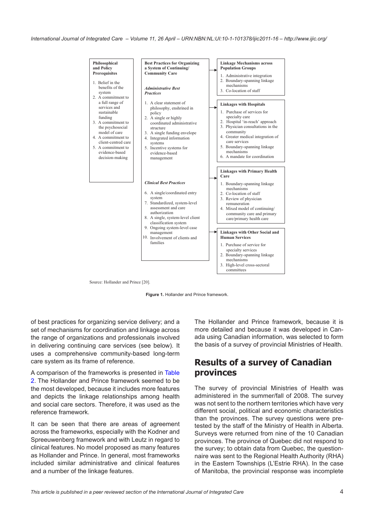<span id="page-3-0"></span>

Source: Hollander and Prince [20].



of best practices for organizing service delivery; and a set of mechanisms for coordination and linkage across the range of organizations and professionals involved in delivering continuing care services (see below). It uses a comprehensive community-based long-term care system as its frame of reference.

A comparison of the frameworks is presented in [Table](#page-4-0) [2](#page-4-0). The Hollander and Prince framework seemed to be the most developed, because it includes more features and depicts the linkage relationships among health and social care sectors. Therefore, it was used as the reference framework.

It can be seen that there are areas of agreement across the frameworks, especially with the Kodner and Spreeuwenberg framework and with Leutz in regard to clinical features. No model proposed as many features as Hollander and Prince. In general, most frameworks included similar administrative and clinical features and a number of the linkage features.

The Hollander and Prince framework, because it is more detailed and because it was developed in Canada using Canadian information, was selected to form the basis of a survey of provincial Ministries of Health.

### **Results of a survey of Canadian provinces**

The survey of provincial Ministries of Health was administered in the summer/fall of 2008. The survey was not sent to the northern territories which have very different social, political and economic characteristics than the provinces. The survey questions were pretested by the staff of the Ministry of Health in Alberta. Surveys were returned from nine of the 10 Canadian provinces. The province of Quebec did not respond to the survey; to obtain data from Quebec, the questionnaire was sent to the Regional Health Authority (RHA) in the Eastern Townships (L'Estrie RHA). In the case of Manitoba, the provincial response was incomplete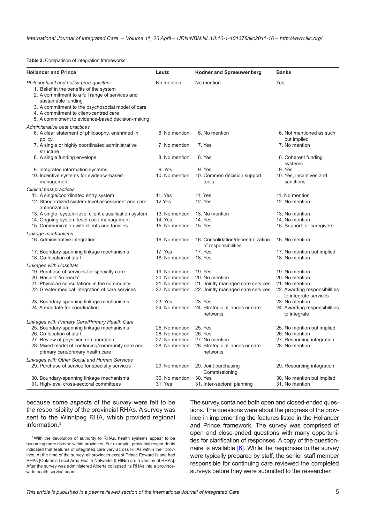<span id="page-4-0"></span>**Table 2.** Comparison of integration frameworks

| <b>Hollander and Prince</b>                                                                                                                                                                                                                                                                                     | Leutz                     | <b>Kodner and Spreeuwenberg</b>                           | <b>Banks</b>                                           |  |  |
|-----------------------------------------------------------------------------------------------------------------------------------------------------------------------------------------------------------------------------------------------------------------------------------------------------------------|---------------------------|-----------------------------------------------------------|--------------------------------------------------------|--|--|
| Philosophical and policy prerequisites<br>1. Belief in the benefits of the system<br>2. A commitment to a full range of services and<br>sustainable funding<br>3. A commitment to the psychosocial model of care<br>4. A commitment to client-centred care<br>5. A commitment to evidence-based decision-making | No mention                | No mention                                                | Yes                                                    |  |  |
| Administrative best practices<br>6. A clear statement of philosophy, enshrined in<br>policy                                                                                                                                                                                                                     | 6. No mention             | 6. No mention                                             | 6. Not mentioned as such<br>but implied                |  |  |
| 7. A single or highly coordinated administrative<br>structure                                                                                                                                                                                                                                                   | 7. No mention             | 7. Yes                                                    | 7. No mention                                          |  |  |
| 8. A single funding envelope                                                                                                                                                                                                                                                                                    | 8. No mention             | 8. Yes                                                    | 8. Coherent funding<br>systems                         |  |  |
| 9. Integrated information systems                                                                                                                                                                                                                                                                               | 9. Yes                    | 9. Yes                                                    | 9. Yes                                                 |  |  |
| 10. Incentive systems for evidence-based<br>management                                                                                                                                                                                                                                                          | 10. No mention            | 10. Common decision support<br>tools                      | 10. Yes, incentives and<br>sanctions                   |  |  |
| Clinical best practices                                                                                                                                                                                                                                                                                         |                           |                                                           |                                                        |  |  |
| 11. A single/coordinated entry system<br>12. Standardized system-level assessment and care<br>authorization                                                                                                                                                                                                     | 11. Yes<br>12.Yes         | 11. Yes<br>12. Yes                                        | 11. No mention<br>12. No mention                       |  |  |
| 13. A single, system-level client classification system                                                                                                                                                                                                                                                         | 13. No mention            | 13. No mention                                            | 13. No mention                                         |  |  |
| 14. Ongoing system-level case management                                                                                                                                                                                                                                                                        | 14. Yes                   | 14. Yes                                                   | 14. No mention                                         |  |  |
| 15. Communication with clients and families                                                                                                                                                                                                                                                                     | 15. No mention            | 15. Yes                                                   | 15. Support for caregivers                             |  |  |
| Linkage mechanisms                                                                                                                                                                                                                                                                                              |                           |                                                           |                                                        |  |  |
| 16. Administrative integration                                                                                                                                                                                                                                                                                  | 16. No mention            | 16. Consolidation/decentralization<br>of responsibilities | 16. No mention                                         |  |  |
| 17. Boundary-spanning linkage mechanisms<br>18. Co-location of staff                                                                                                                                                                                                                                            | 17. Yes<br>18. No mention | 17. Yes<br>18. Yes                                        | 17. No mention but implied<br>18. No mention           |  |  |
| Linkages with Hospitals                                                                                                                                                                                                                                                                                         |                           |                                                           |                                                        |  |  |
| 19. Purchase of services for specialty care                                                                                                                                                                                                                                                                     | 19. No mention            | 19. Yes                                                   | 19. No mention                                         |  |  |
| 20. Hospital 'in-reach'                                                                                                                                                                                                                                                                                         | 20. No mention            | 20. No mention                                            | 20. No mention                                         |  |  |
| 21. Physician consultations in the community                                                                                                                                                                                                                                                                    | 21. No mention            | 21. Jointly managed care services                         | 21. No mention                                         |  |  |
| 22. Greater medical integration of care services                                                                                                                                                                                                                                                                | 22. No mention            | 22. Jointly managed care services                         | 22. Awarding responsibilities<br>to integrate services |  |  |
| 23. Boundary-spanning linkage mechanisms                                                                                                                                                                                                                                                                        | 23. Yes                   | 23. Yes                                                   | 23. No mention                                         |  |  |
| 24. A mandate for coordination                                                                                                                                                                                                                                                                                  | 24. No mention            | 24. Strategic alliances or care<br>networks               | 24. Awarding responsibilities<br>to integrate          |  |  |
| Linkages with Primary Care/Primary Health Care                                                                                                                                                                                                                                                                  |                           |                                                           |                                                        |  |  |
| 25. Boundary-spanning linkage mechanisms                                                                                                                                                                                                                                                                        | 25. No mention            | 25. Yes                                                   | 25. No mention but implied                             |  |  |
| 26. Co-location of staff                                                                                                                                                                                                                                                                                        | 26. No mention            | 26. Yes                                                   | 26. No mention                                         |  |  |
| 27. Review of physician remuneration                                                                                                                                                                                                                                                                            | 27. No mention            | 27. No mention                                            | 27. Resourcing integration                             |  |  |
| 28. Mixed model of continuing/community care and<br>primary care/primary health care                                                                                                                                                                                                                            | 28. No mention            | 28. Strategic alliances or care<br>networks               | 28. No mention                                         |  |  |
| Linkages with Other Social and Human Services                                                                                                                                                                                                                                                                   |                           |                                                           |                                                        |  |  |
| 29. Purchase of service for specialty services                                                                                                                                                                                                                                                                  | 29. No mention            | 29. Joint purchasing<br>Commissioning                     | 29. Resourcing integration                             |  |  |
| 30. Boundary-spanning linkage mechanisms                                                                                                                                                                                                                                                                        | 30. No mention            | 30. Yes                                                   | 30. No mention but implied                             |  |  |
| 31. High-level cross-sectoral committees                                                                                                                                                                                                                                                                        | 31. Yes                   | 31. Inter-sectoral planning                               | 31. No mention                                         |  |  |

because some aspects of the survey were felt to be the responsibility of the provincial RHAs. A survey was sent to the Winnipeg RHA, which provided regional information.5

The survey contained both open and closed-ended questions. The questions were about the progress of the province in implementing the features listed in the Hollander and Prince framework. The survey was comprised of open and close-ended questions with many opportunities for clarification of responses. A copy of the questionnaire is available [\[6\]](#page-8-0). While the responses to the survey were typically prepared by staff, the senior staff member responsible for continuing care reviewed the completed surveys before they were submitted to the researcher.

<sup>5</sup>With the devolution of authority to RHAs, health systems appear to be becoming more diverse within provinces. For example, provincial respondents indicated that features of integrated care vary across RHAs within their province. At the time of the survey, all provinces except Prince Edward Island had RHAs [Ontario's Local Area Health Networks (LHINs) are a version of RHAs]. After the survey was administered Alberta collapsed its RHAs into a provincewide health service board.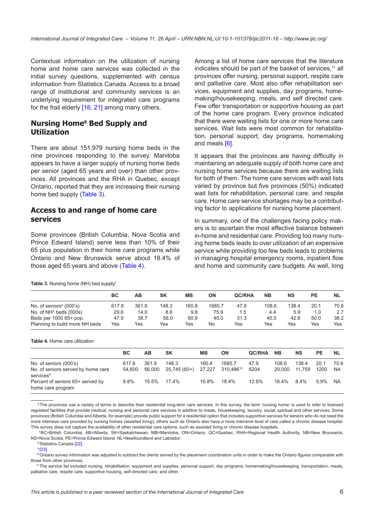Contextual information on the utilization of nursing home and home care services was collected in the initial survey questions, supplemented with census information from Statistics Canada. Access to a broad range of institutional and community services is an underlying requirement for integrated care programs for the frail elderly [[16, 21](#page-8-0)] among many others.

#### **Nursing Home6 Bed Supply and Utilization**

There are about 151,979 nursing home beds in the nine provinces responding to the survey. Manitoba appears to have a larger supply of nursing home beds per senior (aged 65 years and over) than other provinces. All provinces and the RHA in Quebec, except Ontario, reported that they are increasing their nursing home bed supply (Table 3).

#### **Access to and range of home care services**

Some provinces (British Columbia, Nova Scotia and Prince Edward Island) serve less than 10% of their 65 plus population in their home care programs while Ontario and New Brunswick serve about 18.4% of those aged 65 years and above (Table 4).

Among a list of home care services that the literature indicates should be part of the basket of services,<sup>11</sup> all provinces offer nursing, personal support, respite care and palliative care. Most also offer rehabilitation services, equipment and supplies, day programs, homemaking/housekeeping, meals, and self directed care. Few offer transportation or supportive housing as part of the home care program. Every province indicated that there were waiting lists for one or more home care services. Wait lists were most common for rehabilitation, personal support, day programs, homemaking and meals [[6](#page-8-0)].

It appears that the provinces are having difficulty in maintaining an adequate supply of both home care and nursing home services because there are waiting lists for both of them. The home care services with wait lists varied by province but five provinces (50%) indicated wait lists for rehabilitation, personal care, and respite care. Home care service shortages may be a contributing factor to applications for nursing home placement.

In summary, one of the challenges facing policy makers is to ascertain the most effective balance between in-home and residential care. Providing too many nursing home beds leads to over utilization of an expensive service while providing too few beds leads to problems in managing hospital emergency rooms, inpatient flow and home and community care budgets. As well, long

Table 3. Nursing home (NH) bed supply<sup>7</sup>

|                                | ВC    | AВ    | <b>SK</b> | <b>MB</b> | ΟN     | <b>QC/RHA</b> | <b>NB</b> | NS    | PЕ   | <b>NL</b> |
|--------------------------------|-------|-------|-----------|-----------|--------|---------------|-----------|-------|------|-----------|
| No. of seniors $8(000)$ s)     | 617.8 | 361.9 | 148.3     | 160.8     | 1685.7 | 47.9          | 108.6     | 138.4 | 20.1 | 70.6      |
| No. of $NH^*$ beds (000s)      | 29.6  | 14.0  | 8.6       | 9.8       | 75.9   | 1.5           | 4.4       | 5.9   | 1.0  | 2.7       |
| Beds per 1000 65+ pop.         | 47.9  | 38.7  | 58.0      | 60.9      | 45.0   | 31.3          | 40.5      | 42.6  | 50.0 | 38.2      |
| Planning to build more NH beds | Yes   | Yes   | Yes       | Yes       | No     | Yes           | Yes       | Yes   | Yes  | Yes       |

**Table 4.** Home care utilization

|                                                             | <b>BC</b> | AВ     | <b>SK</b>    | MВ     | ON        | <b>QC/RHA</b> | <b>NB</b> | <b>NS</b> | <b>PE</b> | <b>NL</b> |
|-------------------------------------------------------------|-----------|--------|--------------|--------|-----------|---------------|-----------|-----------|-----------|-----------|
| No. of seniors (000's)                                      | 617.8     | 361.9  | 148.3        | 160.8  | 1685.7    | 47.9          | 108.6     | 138.4     | 20.1      | 70.6      |
| No. of seniors served by home care<br>services <sup>9</sup> | 54.600    | 56,000 | 25,745 (60+) | 27.227 | 310.48610 | 6204          | 20,000    | 11.759    | 1200      | <b>NA</b> |
| Percent of seniors 65+ served by<br>home care program       | 8.8%      | 15.5%  | 174%         | 16.8%  | 18.4%     | 12.9%         | 18.4%     | $8.4\%$   | 5.9%      | NA.       |

<sup>6</sup>The provinces use a variety of terms to describe their residential long-term care services. In this survey, the term 'nursing home' is used to refer to licensed requlated facilities that provide medical, nursing and personal care services in addition to meals, housekeeping, laundry, social, spiritual and other services. Some provinces (British Columbia and Alberta, for example) provide public support for a residential option that includes supportive services for seniors who do not need the more intensive care provided by nursing homes (assisted living); others such as Ontario also have a more intensive level of care called a chronic disease hospital. This survey does not capture the availability of other residential care options, such as assisted living or chronic disease hospitals.

<sup>7</sup>BC=British Columbia, AB=Alberta, SK=Saskatchewan, MB=Manitoba, ON=Ontario, QC=Quebec, RHA=Regional Health Authority, NB=New Brunswick, NS=Nova Scotia, PE=Prince Edward Island, NL=Newfoundland and Labrador.

<sup>8</sup>Statistics Canada [\[22\].](#page-8-0)

 $9$  [\[23\]](#page-8-0).

<sup>10</sup>Ontario survey information was adjusted to subtract the clients served by the placement coordination units in order to make the Ontario figures comparable with those from other provinces.

11The service list included nursing, rehabilitation, equipment and supplies, personal support, day programs, homemaking/housekeeping, transportation, meals, palliative care, respite care, supportive housing, self-directed care, and other.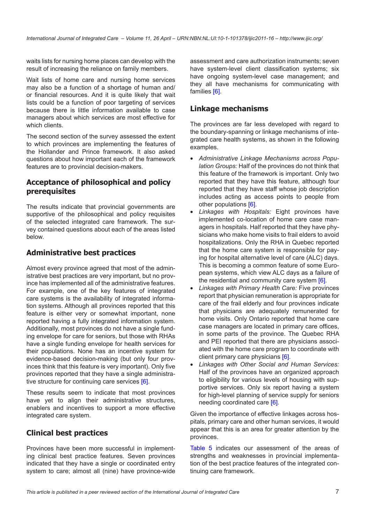waits lists for nursing home places can develop with the result of increasing the reliance on family members.

Wait lists of home care and nursing home services may also be a function of a shortage of human and/ or financial resources. And it is quite likely that wait lists could be a function of poor targeting of services because there is little information available to case managers about which services are most effective for which clients.

The second section of the survey assessed the extent to which provinces are implementing the features of the Hollander and Prince framework. It also asked questions about how important each of the framework features are to provincial decision-makers.

#### **Acceptance of philosophical and policy prerequisites**

The results indicate that provincial governments are supportive of the philosophical and policy requisites of the selected integrated care framework. The survey contained questions about each of the areas listed below.

#### **Administrative best practices**

Almost every province agreed that most of the administrative best practices are very important, but no province has implemented all of the administrative features. For example, one of the key features of integrated care systems is the availability of integrated information systems. Although all provinces reported that this feature is either very or somewhat important, none reported having a fully integrated information system. Additionally, most provinces do not have a single funding envelope for care for seniors, but those with RHAs have a single funding envelope for health services for their populations. None has an incentive system for evidence-based decision-making (but only four provinces think that this feature is very important). Only five provinces reported that they have a single administra-tive structure for continuing care services [[6](#page-8-0)].

These results seem to indicate that most provinces have vet to align their administrative structures, enablers and incentives to support a more effective integrated care system.

#### **Clinical best practices**

Provinces have been more successful in implementing clinical best practice features. Seven provinces indicated that they have a single or coordinated entry system to care; almost all (nine) have province-wide assessment and care authorization instruments; seven have system-level client classification systems; six have ongoing system-level case management; and they all have mechanisms for communicating with families [[6](#page-8-0)].

#### **Linkage mechanisms**

The provinces are far less developed with regard to the boundary-spanning or linkage mechanisms of integrated care health systems, as shown in the following examples.

- *Administrative Linkage Mechanisms across Population Groups:* Half of the provinces do not think that this feature of the framework is important. Only two reported that they have this feature, although four reported that they have staff whose job description includes acting as access points to people from other populations [\[6\]](#page-8-0).
- *Linkages with Hospitals:* Eight provinces have implemented co-location of home care case managers in hospitals. Half reported that they have physicians who make home visits to frail elders to avoid hospitalizations. Only the RHA in Quebec reported that the home care system is responsible for paying for hospital alternative level of care (ALC) days. This is becoming a common feature of some European systems, which view ALC days as a failure of the residential and community care system [\[6\]](#page-8-0).
- *Linkages with Primary Health Care:* Five provinces report that physician remuneration is appropriate for care of the frail elderly and four provinces indicate that physicians are adequately remunerated for home visits. Only Ontario reported that home care case managers are located in primary care offices, in some parts of the province. The Quebec RHA and PEI reported that there are physicians associated with the home care program to coordinate with client primary care physicians [[6](#page-8-0)].
- *Linkages with Other Social and Human Services:* Half of the provinces have an organized approach to eligibility for various levels of housing with supportive services. Only six report having a system for high-level planning of service supply for seniors needing coordinated care [[6](#page-8-0)].

Given the importance of effective linkages across hospitals, primary care and other human services, it would appear that this is an area for greater attention by the provinces.

[Table 5](#page-7-0) indicates our assessment of the areas of strengths and weaknesses in provincial implementation of the best practice features of the integrated continuing care framework.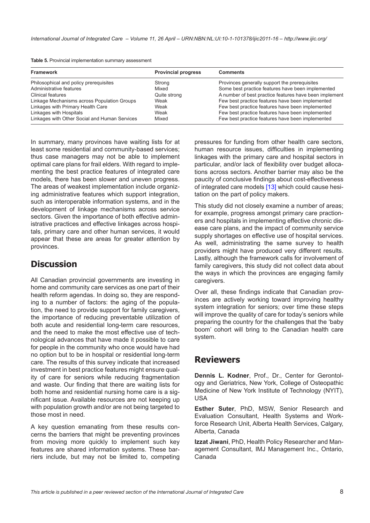<span id="page-7-0"></span>

| Table 5. Provincial implementation summary assessment |  |
|-------------------------------------------------------|--|
|-------------------------------------------------------|--|

| <b>Framework</b>                              | <b>Provincial progress</b> | <b>Comments</b>                                        |
|-----------------------------------------------|----------------------------|--------------------------------------------------------|
| Philosophical and policy prerequisites        | Strong                     | Provinces generally support the prerequisites          |
| Administrative features                       | Mixed                      | Some best practice features have been implemented      |
| Clinical features                             | Quite strong               | A number of best practice features have been implement |
| Linkage Mechanisms across Population Groups   | Weak                       | Few best practice features have been implemented       |
| Linkages with Primary Health Care             | Weak                       | Few best practice features have been implemented       |
| Linkages with Hospitals                       | Weak                       | Few best practice features have been implemented       |
| Linkages with Other Social and Human Services | Mixed                      | Few best practice features have been implemented       |

In summary, many provinces have waiting lists for at least some residential and community-based services; thus case managers may not be able to implement optimal care plans for frail elders. With regard to implementing the best practice features of integrated care models, there has been slower and uneven progress. The areas of weakest implementation include organizing administrative features which support integration, such as interoperable information systems, and in the development of linkage mechanisms across service sectors. Given the importance of both effective administrative practices and effective linkages across hospitals, primary care and other human services, it would appear that these are areas for greater attention by provinces.

### **Discussion**

All Canadian provincial governments are investing in home and community care services as one part of their health reform agendas. In doing so, they are responding to a number of factors: the aging of the population, the need to provide support for family caregivers, the importance of reducing preventable utilization of both acute and residential long-term care resources, and the need to make the most effective use of technological advances that have made it possible to care for people in the community who once would have had no option but to be in hospital or residential long-term care. The results of this survey indicate that increased investment in best practice features might ensure quality of care for seniors while reducing fragmentation and waste. Our finding that there are waiting lists for both home and residential nursing home care is a significant issue. Available resources are not keeping up with population growth and/or are not being targeted to those most in need.

A key question emanating from these results concerns the barriers that might be preventing provinces from moving more quickly to implement such key features are shared information systems. These barriers include, but may not be limited to, competing pressures for funding from other health care sectors, human resource issues, difficulties in implementing linkages with the primary care and hospital sectors in particular, and/or lack of flexibility over budget allocations across sectors. Another barrier may also be the paucity of conclusive findings about cost-effectiveness of integrated care models [[13\]](#page-8-0) which could cause hesitation on the part of policy makers.

This study did not closely examine a number of areas; for example, progress amongst primary care practioners and hospitals in implementing effective chronic disease care plans, and the impact of community service supply shortages on effective use of hospital services. As well, administrating the same survey to health providers might have produced very different results. Lastly, although the framework calls for involvement of family caregivers, this study did not collect data about the ways in which the provinces are engaging family caregivers.

Over all, these findings indicate that Canadian provinces are actively working toward improving healthy system integration for seniors; over time these steps will improve the quality of care for today's seniors while preparing the country for the challenges that the 'baby boom' cohort will bring to the Canadian health care system.

### **Reviewers**

**Dennis L. Kodner**, Prof., Dr., Center for Gerontology and Geriatrics, New York, College of Osteopathic Medicine of New York Institute of Technology (NYIT), USA

**Esther Suter**, PhD, MSW, Senior Research and Evaluation Consultant, Health Systems and Workforce Research Unit, Alberta Health Services, Calgary, Alberta, Canada

**Izzat Jiwani**, PhD, Health Policy Researcher and Management Consultant, IMJ Management Inc., Ontario, Canada